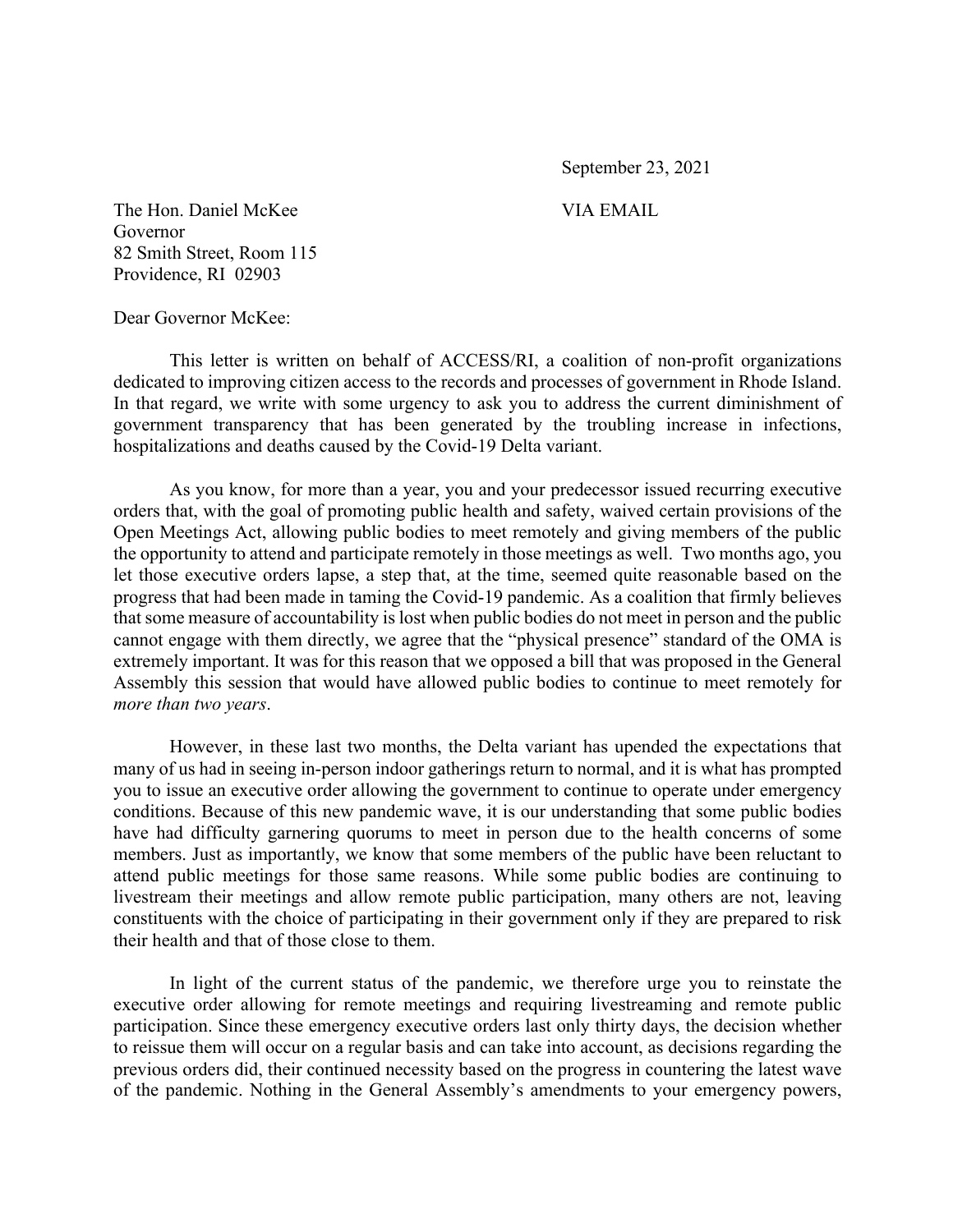September 23, 2021

The Hon. Daniel McKee VIA EMAIL Governor 82 Smith Street, Room 115 Providence, RI 02903

Dear Governor McKee:

This letter is written on behalf of ACCESS/RI, a coalition of non-profit organizations dedicated to improving citizen access to the records and processes of government in Rhode Island. In that regard, we write with some urgency to ask you to address the current diminishment of government transparency that has been generated by the troubling increase in infections, hospitalizations and deaths caused by the Covid-19 Delta variant.

As you know, for more than a year, you and your predecessor issued recurring executive orders that, with the goal of promoting public health and safety, waived certain provisions of the Open Meetings Act, allowing public bodies to meet remotely and giving members of the public the opportunity to attend and participate remotely in those meetings as well. Two months ago, you let those executive orders lapse, a step that, at the time, seemed quite reasonable based on the progress that had been made in taming the Covid-19 pandemic. As a coalition that firmly believes that some measure of accountability is lost when public bodies do not meet in person and the public cannot engage with them directly, we agree that the "physical presence" standard of the OMA is extremely important. It was for this reason that we opposed a bill that was proposed in the General Assembly this session that would have allowed public bodies to continue to meet remotely for *more than two years*.

However, in these last two months, the Delta variant has upended the expectations that many of us had in seeing in-person indoor gatherings return to normal, and it is what has prompted you to issue an executive order allowing the government to continue to operate under emergency conditions. Because of this new pandemic wave, it is our understanding that some public bodies have had difficulty garnering quorums to meet in person due to the health concerns of some members. Just as importantly, we know that some members of the public have been reluctant to attend public meetings for those same reasons. While some public bodies are continuing to livestream their meetings and allow remote public participation, many others are not, leaving constituents with the choice of participating in their government only if they are prepared to risk their health and that of those close to them.

In light of the current status of the pandemic, we therefore urge you to reinstate the executive order allowing for remote meetings and requiring livestreaming and remote public participation. Since these emergency executive orders last only thirty days, the decision whether to reissue them will occur on a regular basis and can take into account, as decisions regarding the previous orders did, their continued necessity based on the progress in countering the latest wave of the pandemic. Nothing in the General Assembly's amendments to your emergency powers,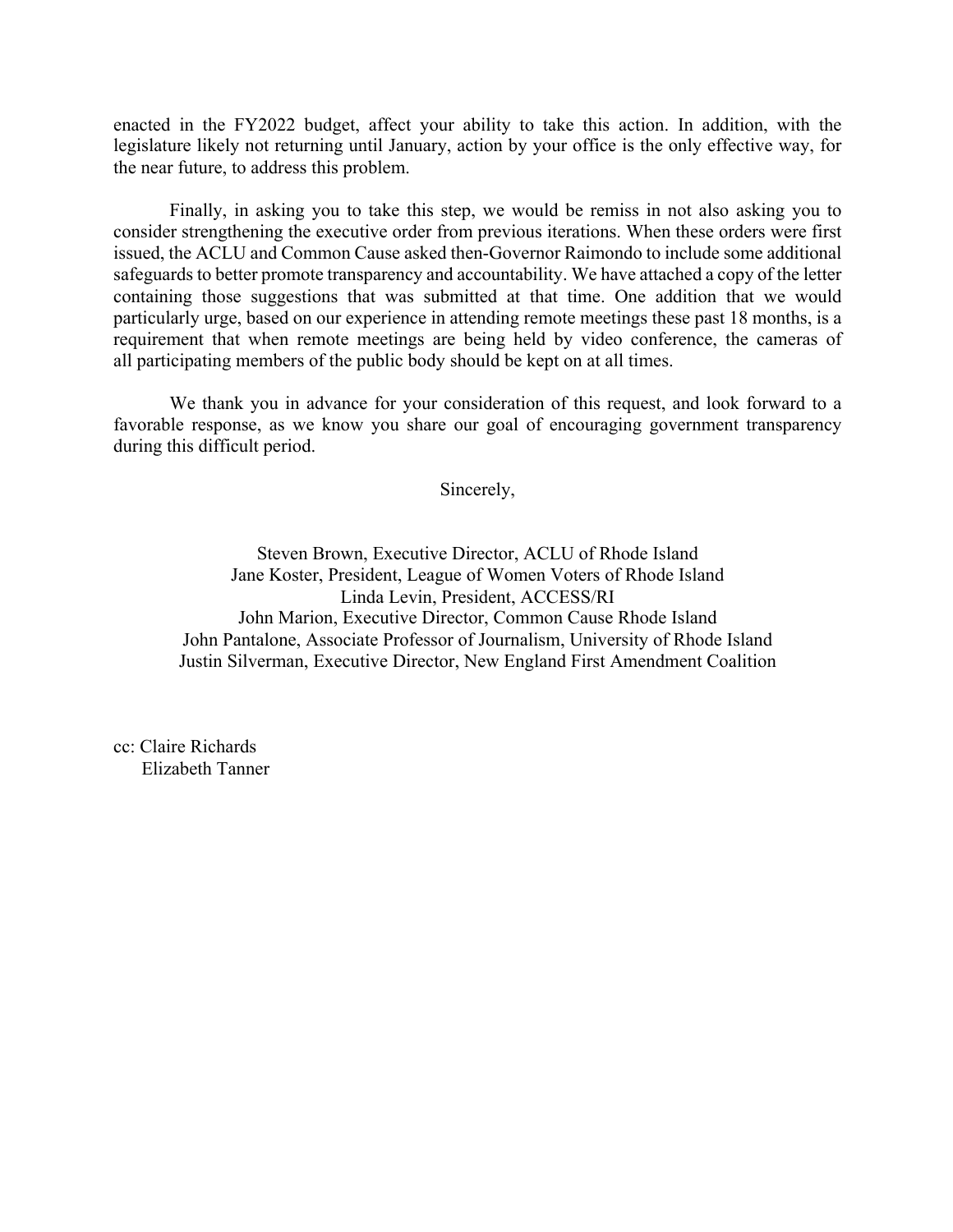enacted in the FY2022 budget, affect your ability to take this action. In addition, with the legislature likely not returning until January, action by your office is the only effective way, for the near future, to address this problem.

Finally, in asking you to take this step, we would be remiss in not also asking you to consider strengthening the executive order from previous iterations. When these orders were first issued, the ACLU and Common Cause asked then-Governor Raimondo to include some additional safeguards to better promote transparency and accountability. We have attached a copy of the letter containing those suggestions that was submitted at that time. One addition that we would particularly urge, based on our experience in attending remote meetings these past 18 months, is a requirement that when remote meetings are being held by video conference, the cameras of all participating members of the public body should be kept on at all times.

We thank you in advance for your consideration of this request, and look forward to a favorable response, as we know you share our goal of encouraging government transparency during this difficult period.

Sincerely,

Steven Brown, Executive Director, ACLU of Rhode Island Jane Koster, President, League of Women Voters of Rhode Island Linda Levin, President, ACCESS/RI John Marion, Executive Director, Common Cause Rhode Island John Pantalone, Associate Professor of Journalism, University of Rhode Island Justin Silverman, Executive Director, New England First Amendment Coalition

cc: Claire Richards Elizabeth Tanner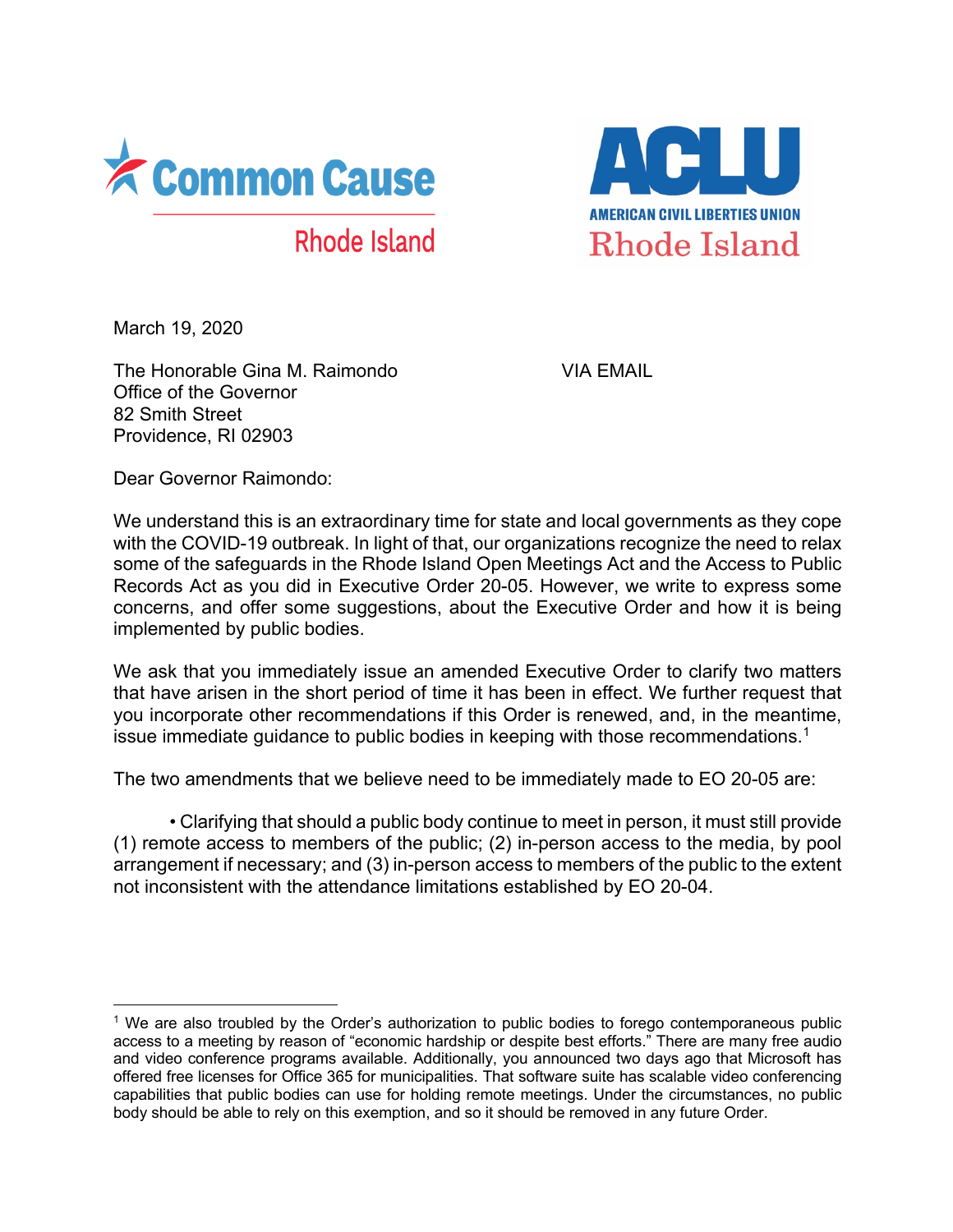



March 19, 2020

The Honorable Gina M. Raimondo VIA EMAIL Office of the Governor 82 Smith Street Providence, RI 02903

Dear Governor Raimondo:

We understand this is an extraordinary time for state and local governments as they cope with the COVID-19 outbreak. In light of that, our organizations recognize the need to relax some of the safeguards in the Rhode Island Open Meetings Act and the Access to Public Records Act as you did in Executive Order 20-05. However, we write to express some concerns, and offer some suggestions, about the Executive Order and how it is being implemented by public bodies.

We ask that you immediately issue an amended Executive Order to clarify two matters that have arisen in the short period of time it has been in effect. We further request that you incorporate other recommendations if this Order is renewed, and, in the meantime, issue immediate guidance to public bodies in keeping with those recommendations.<sup>1</sup>

The two amendments that we believe need to be immediately made to EO 20-05 are:

• Clarifying that should a public body continue to meet in person, it must still provide (1) remote access to members of the public; (2) in-person access to the media, by pool arrangement if necessary; and (3) in-person access to members of the public to the extent not inconsistent with the attendance limitations established by EO 20-04.

<sup>&</sup>lt;sup>1</sup> We are also troubled by the Order's authorization to public bodies to forego contemporaneous public access to a meeting by reason of "economic hardship or despite best efforts." There are many free audio and video conference programs available. Additionally, you announced two days ago that Microsoft has offered free licenses for Office 365 for municipalities. That software suite has scalable video conferencing capabilities that public bodies can use for holding remote meetings. Under the circumstances, no public body should be able to rely on this exemption, and so it should be removed in any future Order.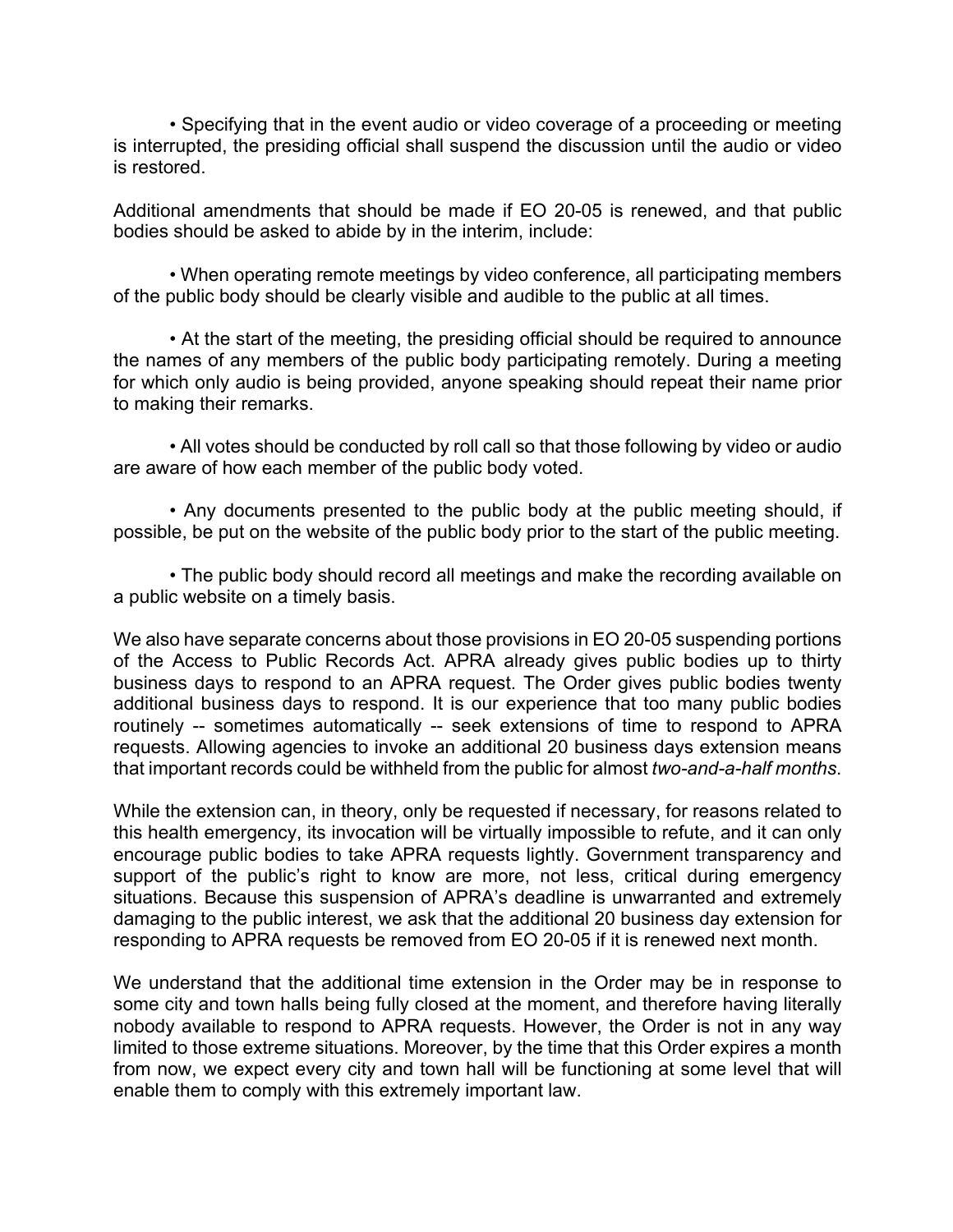• Specifying that in the event audio or video coverage of a proceeding or meeting is interrupted, the presiding official shall suspend the discussion until the audio or video is restored.

Additional amendments that should be made if EO 20-05 is renewed, and that public bodies should be asked to abide by in the interim, include:

• When operating remote meetings by video conference, all participating members of the public body should be clearly visible and audible to the public at all times.

• At the start of the meeting, the presiding official should be required to announce the names of any members of the public body participating remotely. During a meeting for which only audio is being provided, anyone speaking should repeat their name prior to making their remarks.

• All votes should be conducted by roll call so that those following by video or audio are aware of how each member of the public body voted.

• Any documents presented to the public body at the public meeting should, if possible, be put on the website of the public body prior to the start of the public meeting.

• The public body should record all meetings and make the recording available on a public website on a timely basis.

We also have separate concerns about those provisions in EO 20-05 suspending portions of the Access to Public Records Act. APRA already gives public bodies up to thirty business days to respond to an APRA request. The Order gives public bodies twenty additional business days to respond. It is our experience that too many public bodies routinely -- sometimes automatically -- seek extensions of time to respond to APRA requests. Allowing agencies to invoke an additional 20 business days extension means that important records could be withheld from the public for almost *two-and-a-half months*.

While the extension can, in theory, only be requested if necessary, for reasons related to this health emergency, its invocation will be virtually impossible to refute, and it can only encourage public bodies to take APRA requests lightly. Government transparency and support of the public's right to know are more, not less, critical during emergency situations. Because this suspension of APRA's deadline is unwarranted and extremely damaging to the public interest, we ask that the additional 20 business day extension for responding to APRA requests be removed from EO 20-05 if it is renewed next month.

We understand that the additional time extension in the Order may be in response to some city and town halls being fully closed at the moment, and therefore having literally nobody available to respond to APRA requests. However, the Order is not in any way limited to those extreme situations. Moreover, by the time that this Order expires a month from now, we expect every city and town hall will be functioning at some level that will enable them to comply with this extremely important law.